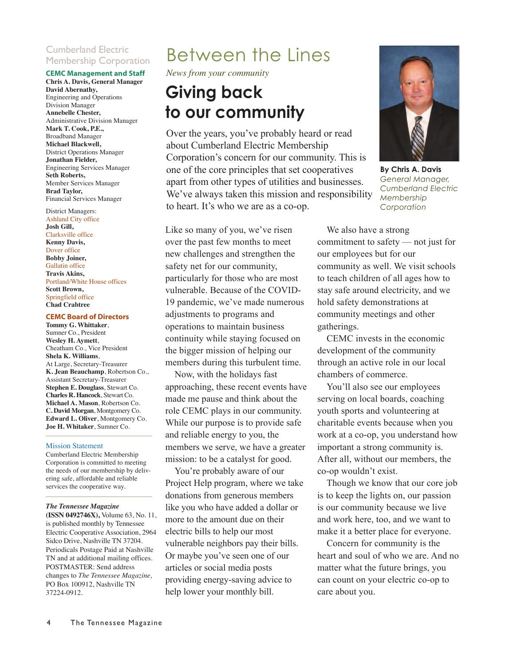### Cumberland Electric Membership Corporation

#### **CEMC Management and Staff**

**Chris A. Davis, General Manager David Abernathy,** Engineering and Operations Division Manager **Annebelle Chester,** Administrative Division Manager **Mark T. Cook, P.E.,** Broadband Manager **Michael Blackwell,** District Operations Manager **Jonathan Fielder,**  Engineering Services Manager **Seth Roberts,** Member Services Manager **Brad Taylor,**  Financial Services Manager

#### District Managers:

Ashland City office **Josh Gill,** Clarksville office **Kenny Davis,**  Dover office **Bobby Joiner,**  Gallatin office **Travis Akins,** Portland/White House offices **Scott Brown,**  Springfield office **Chad Crabtree**

#### **CEMC Board of Directors**

**Tommy G. Whittaker**, Sumner Co., President **Wesley H. Aymett**, Cheatham Co., Vice President **Shela K. Williams**, At Large, Secretary-Treasurer **K. Jean Beauchamp**, Robertson Co., Assistant Secretary-Treasurer **Stephen E. Douglass**, Stewart Co. **Charles R. Hancock**, Stewart Co. **Michael A. Mason**, Robertson Co. **C. David Morgan**, Montgomery Co. **Edward L. Oliver**, Montgomery Co. **Joe H. Whitaker**, Sumner Co.

#### Mission Statement

Cumberland Electric Membership Corporation is committed to meeting the needs of our membership by delivering safe, affordable and reliable services the cooperative way.

#### *The Tennessee Magazine*

**(ISSN 0492746X),** Volume 63, No. 11, is published monthly by Tennessee Electric Cooperative Association, 2964 Sidco Drive, Nashville TN 37204. Periodicals Postage Paid at Nashville TN and at additional mailing offices. POSTMASTER: Send address changes to *The Tennessee Magazine,* PO Box 100912, Nashville TN 37224-0912.

## Between the Lines

*News from your community*

## **Giving back to our community**

Over the years, you've probably heard or read about Cumberland Electric Membership Corporation's concern for our community. This is one of the core principles that set cooperatives apart from other types of utilities and businesses. We've always taken this mission and responsibility to heart. It's who we are as a co-op.

Like so many of you, we've risen over the past few months to meet new challenges and strengthen the safety net for our community, particularly for those who are most vulnerable. Because of the COVID-19 pandemic, we've made numerous adjustments to programs and operations to maintain business continuity while staying focused on the bigger mission of helping our members during this turbulent time.

Now, with the holidays fast approaching, these recent events have made me pause and think about the role CEMC plays in our community. While our purpose is to provide safe and reliable energy to you, the members we serve, we have a greater mission: to be a catalyst for good.

You're probably aware of our Project Help program, where we take donations from generous members like you who have added a dollar or more to the amount due on their electric bills to help our most vulnerable neighbors pay their bills. Or maybe you've seen one of our articles or social media posts providing energy-saving advice to help lower your monthly bill.



**By Chris A. Davis** *General Manager, Cumberland Electric Membership Corporation*

We also have a strong commitment to safety — not just for our employees but for our community as well. We visit schools to teach children of all ages how to stay safe around electricity, and we hold safety demonstrations at community meetings and other gatherings.

CEMC invests in the economic development of the community through an active role in our local chambers of commerce.

You'll also see our employees serving on local boards, coaching youth sports and volunteering at charitable events because when you work at a co-op, you understand how important a strong community is. After all, without our members, the co-op wouldn't exist.

Though we know that our core job is to keep the lights on, our passion is our community because we live and work here, too, and we want to make it a better place for everyone.

Concern for community is the heart and soul of who we are. And no matter what the future brings, you can count on your electric co-op to care about you.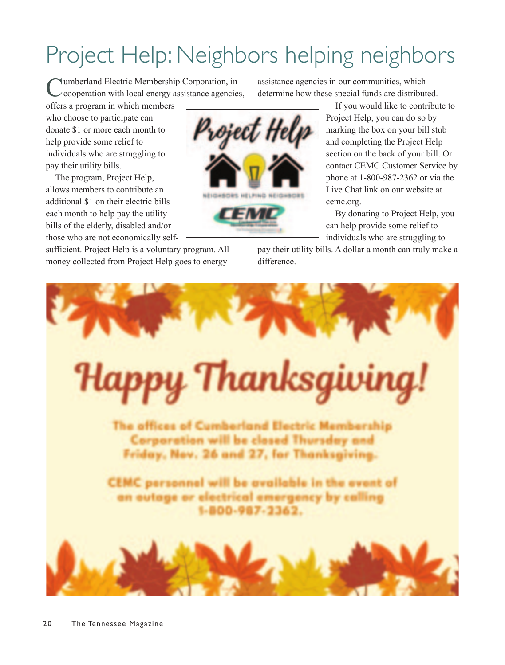# Project Help: Neighbors helping neighbors

Cumberland Electric Membership Corporation, in<br>
Cooperation with local energy assistance agencies,

offers a program in which members who choose to participate can donate \$1 or more each month to help provide some relief to individuals who are struggling to pay their utility bills.

The program, Project Help, allows members to contribute an additional \$1 on their electric bills each month to help pay the utility bills of the elderly, disabled and/or those who are not economically self-

sufficient. Project Help is a voluntary program. All money collected from Project Help goes to energy

assistance agencies in our communities, which determine how these special funds are distributed.

> If you would like to contribute to Project Help, you can do so by marking the box on your bill stub and completing the Project Help section on the back of your bill. Or contact CEMC Customer Service by phone at 1-800-987-2362 or via the Live Chat link on our website at cemc.org.

By donating to Project Help, you can help provide some relief to individuals who are struggling to

pay their utility bills. A dollar a month can truly make a difference.



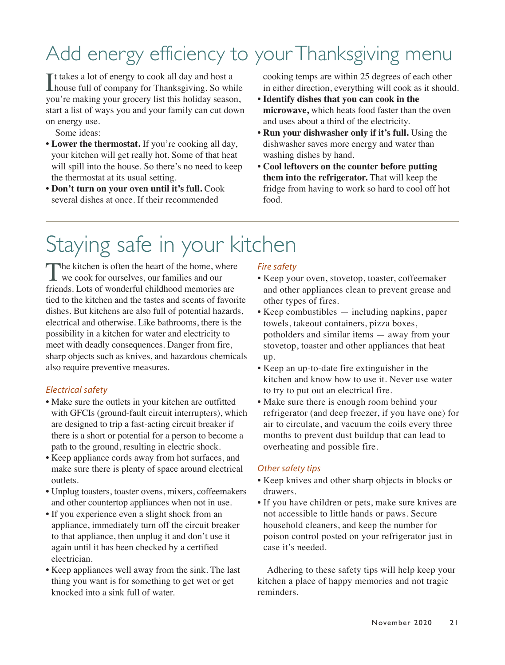# Add energy efficiency to your Thanksgiving menu

It takes a lot of energy to cook all day and host a<br>house full of company for Thanksgiving. So wh **L**house full of company for Thanksgiving. So while you're making your grocery list this holiday season, start a list of ways you and your family can cut down on energy use.

Some ideas:

- **Lower the thermostat.** If you're cooking all day, your kitchen will get really hot. Some of that heat will spill into the house. So there's no need to keep the thermostat at its usual setting.
- **Don't turn on your oven until it's full.** Cook several dishes at once. If their recommended

cooking temps are within 25 degrees of each other in either direction, everything will cook as it should.

- **Identify dishes that you can cook in the microwave,** which heats food faster than the oven and uses about a third of the electricity.
- **Run your dishwasher only if it's full.** Using the dishwasher saves more energy and water than washing dishes by hand.
- **Cool leftovers on the counter before putting them into the refrigerator.** That will keep the fridge from having to work so hard to cool off hot food.

# Staying safe in your kitchen

The kitchen is often the heart of the home, where<br>we cook for ourselves, our families and our<br> friends. Lots of wonderful childhood memories are tied to the kitchen and the tastes and scents of favorite dishes. But kitchens are also full of potential hazards, electrical and otherwise. Like bathrooms, there is the possibility in a kitchen for water and electricity to meet with deadly consequences. Danger from fire, sharp objects such as knives, and hazardous chemicals also require preventive measures.

### *Electrical safety*

- Make sure the outlets in your kitchen are outfitted with GFCIs (ground-fault circuit interrupters), which are designed to trip a fast-acting circuit breaker if there is a short or potential for a person to become a path to the ground, resulting in electric shock.
- Keep appliance cords away from hot surfaces, and make sure there is plenty of space around electrical outlets.
- Unplug toasters, toaster ovens, mixers, coffeemakers and other countertop appliances when not in use.
- If you experience even a slight shock from an appliance, immediately turn off the circuit breaker to that appliance, then unplug it and don't use it again until it has been checked by a certified electrician.
- Keep appliances well away from the sink. The last thing you want is for something to get wet or get knocked into a sink full of water.

### *Fire safety*

- Keep your oven, stovetop, toaster, coffeemaker and other appliances clean to prevent grease and other types of fires.
- Keep combustibles including napkins, paper towels, takeout containers, pizza boxes, potholders and similar items — away from your stovetop, toaster and other appliances that heat up.
- Keep an up-to-date fire extinguisher in the kitchen and know how to use it. Never use water to try to put out an electrical fire.
- Make sure there is enough room behind your refrigerator (and deep freezer, if you have one) for air to circulate, and vacuum the coils every three months to prevent dust buildup that can lead to overheating and possible fire.

### *Other safety tips*

- Keep knives and other sharp objects in blocks or drawers.
- If you have children or pets, make sure knives are not accessible to little hands or paws. Secure household cleaners, and keep the number for poison control posted on your refrigerator just in case it's needed.

Adhering to these safety tips will help keep your kitchen a place of happy memories and not tragic reminders.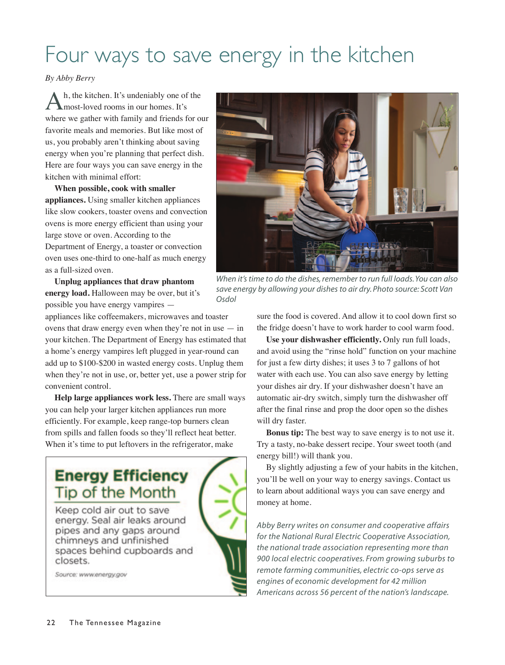# Four ways to save energy in the kitchen

#### *By Abby Berry*

h, the kitchen. It's undeniably one of the most-loved rooms in our homes. It's where we gather with family and friends for our favorite meals and memories. But like most of us, you probably aren't thinking about saving energy when you're planning that perfect dish. Here are four ways you can save energy in the kitchen with minimal effort:

**When possible, cook with smaller appliances.** Using smaller kitchen appliances like slow cookers, toaster ovens and convection ovens is more energy efficient than using your large stove or oven. According to the Department of Energy, a toaster or convection oven uses one-third to one-half as much energy as a full-sized oven.

**Unplug appliances that draw phantom energy load.** Halloween may be over, but it's possible you have energy vampires —

appliances like coffeemakers, microwaves and toaster ovens that draw energy even when they're not in use  $-$  in your kitchen. The Department of Energy has estimated that a home's energy vampires left plugged in year-round can add up to \$100-\$200 in wasted energy costs. Unplug them when they're not in use, or, better yet, use a power strip for convenient control.

**Help large appliances work less.** There are small ways you can help your larger kitchen appliances run more efficiently. For example, keep range-top burners clean from spills and fallen foods so they'll reflect heat better. When it's time to put leftovers in the refrigerator, make

### **Energy Efficiency Tip of the Month**

Keep cold air out to save energy. Seal air leaks around pipes and any gaps around chimneys and unfinished spaces behind cupboards and closets.

Source: www.energy.gov



*When it's time to do the dishes, remember to run full loads. You can also save energy by allowing your dishes to air dry. Photo source: Scott Van Osdol*

sure the food is covered. And allow it to cool down first so the fridge doesn't have to work harder to cool warm food.

**Use your dishwasher efficiently.** Only run full loads, and avoid using the "rinse hold" function on your machine for just a few dirty dishes; it uses 3 to 7 gallons of hot water with each use. You can also save energy by letting your dishes air dry. If your dishwasher doesn't have an automatic air-dry switch, simply turn the dishwasher off after the final rinse and prop the door open so the dishes will dry faster.

**Bonus tip:** The best way to save energy is to not use it. Try a tasty, no-bake dessert recipe. Your sweet tooth (and energy bill!) will thank you.

By slightly adjusting a few of your habits in the kitchen, you'll be well on your way to energy savings. Contact us to learn about additional ways you can save energy and money at home.

*Abby Berry writes on consumer and cooperative affairs for the National Rural Electric Cooperative Association, the national trade association representing more than 900 local electric cooperatives. From growing suburbs to remote farming communities, electric co-ops serve as engines of economic development for 42 million Americans across 56 percent of the nation's landscape.*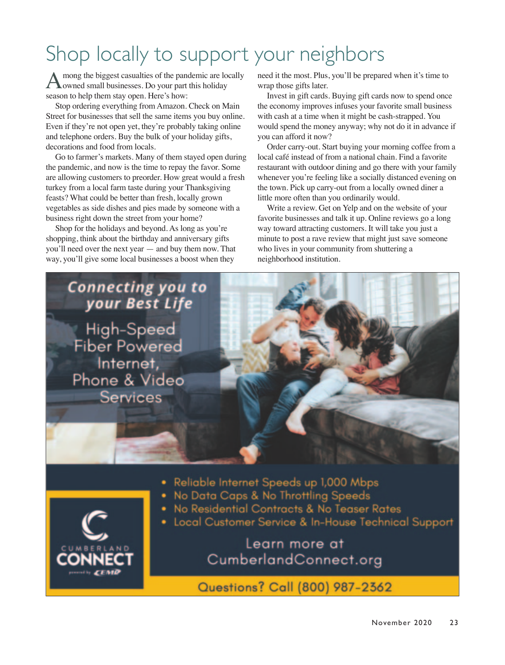# Shop locally to support your neighbors

A mong the biggest casualties of the pandemic are locally<br>owned small businesses. Do your part this holiday season to help them stay open. Here's how:

Stop ordering everything from Amazon. Check on Main Street for businesses that sell the same items you buy online. Even if they're not open yet, they're probably taking online and telephone orders. Buy the bulk of your holiday gifts, decorations and food from locals.

Go to farmer's markets. Many of them stayed open during the pandemic, and now is the time to repay the favor. Some are allowing customers to preorder. How great would a fresh turkey from a local farm taste during your Thanksgiving feasts? What could be better than fresh, locally grown vegetables as side dishes and pies made by someone with a business right down the street from your home?

Shop for the holidays and beyond. As long as you're shopping, think about the birthday and anniversary gifts you'll need over the next year — and buy them now. That way, you'll give some local businesses a boost when they

need it the most. Plus, you'll be prepared when it's time to wrap those gifts later.

Invest in gift cards. Buying gift cards now to spend once the economy improves infuses your favorite small business with cash at a time when it might be cash-strapped. You would spend the money anyway; why not do it in advance if you can afford it now?

Order carry-out. Start buying your morning coffee from a local café instead of from a national chain. Find a favorite restaurant with outdoor dining and go there with your family whenever you're feeling like a socially distanced evening on the town. Pick up carry-out from a locally owned diner a little more often than you ordinarily would.

Write a review. Get on Yelp and on the website of your favorite businesses and talk it up. Online reviews go a long way toward attracting customers. It will take you just a minute to post a rave review that might just save someone who lives in your community from shuttering a neighborhood institution.

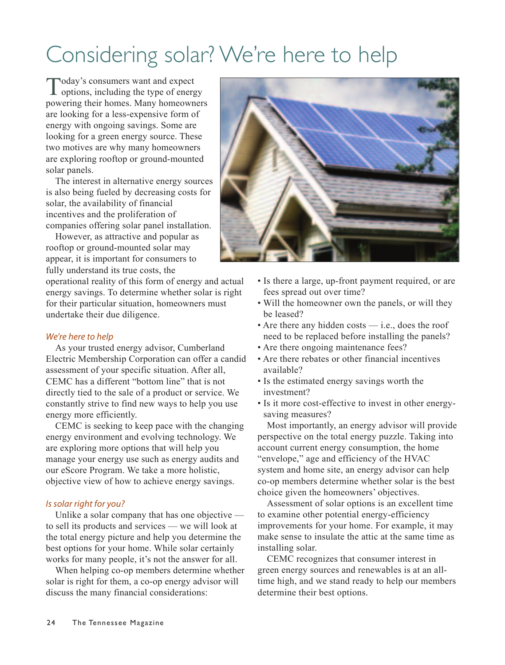# Considering solar? We're here to help

Today's consumers want and expect<br>options, including the type of energy powering their homes. Many homeowners are looking for a less-expensive form of energy with ongoing savings. Some are looking for a green energy source. These two motives are why many homeowners are exploring rooftop or ground-mounted solar panels.

The interest in alternative energy sources is also being fueled by decreasing costs for solar, the availability of financial incentives and the proliferation of companies offering solar panel installation.

However, as attractive and popular as rooftop or ground-mounted solar may appear, it is important for consumers to fully understand its true costs, the

operational reality of this form of energy and actual energy savings. To determine whether solar is right for their particular situation, homeowners must undertake their due diligence.

### *We're here to help*

As your trusted energy advisor, Cumberland Electric Membership Corporation can offer a candid assessment of your specific situation. After all, CEMC has a different "bottom line" that is not directly tied to the sale of a product or service. We constantly strive to find new ways to help you use energy more efficiently.

CEMC is seeking to keep pace with the changing energy environment and evolving technology. We are exploring more options that will help you manage your energy use such as energy audits and our eScore Program. We take a more holistic, objective view of how to achieve energy savings.

### *Is solar right for you?*

Unlike a solar company that has one objective to sell its products and services — we will look at the total energy picture and help you determine the best options for your home. While solar certainly works for many people, it's not the answer for all.

When helping co-op members determine whether solar is right for them, a co-op energy advisor will discuss the many financial considerations:



- Is there a large, up-front payment required, or are fees spread out over time?
- Will the homeowner own the panels, or will they be leased?
- Are there any hidden costs  $-$  i.e., does the roof need to be replaced before installing the panels?
- Are there ongoing maintenance fees?
- Are there rebates or other financial incentives available?
- Is the estimated energy savings worth the investment?
- Is it more cost-effective to invest in other energysaving measures?

Most importantly, an energy advisor will provide perspective on the total energy puzzle. Taking into account current energy consumption, the home "envelope," age and efficiency of the HVAC system and home site, an energy advisor can help co-op members determine whether solar is the best choice given the homeowners' objectives.

Assessment of solar options is an excellent time to examine other potential energy-efficiency improvements for your home. For example, it may make sense to insulate the attic at the same time as installing solar.

CEMC recognizes that consumer interest in green energy sources and renewables is at an alltime high, and we stand ready to help our members determine their best options.